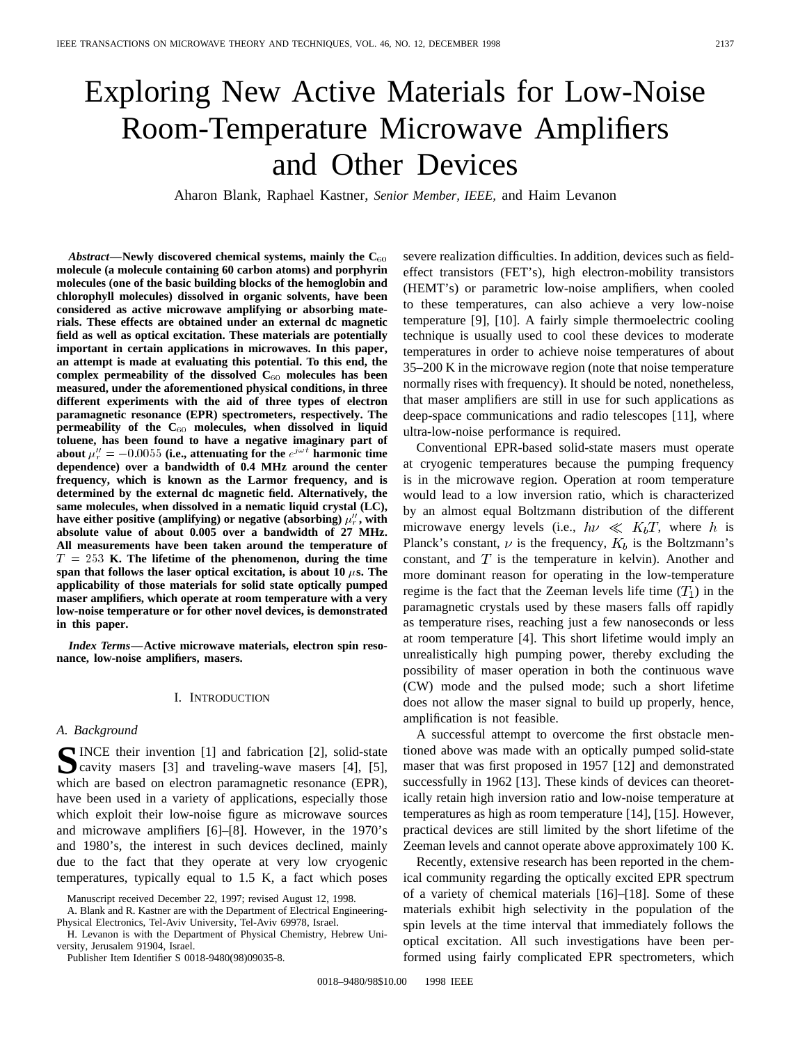# Exploring New Active Materials for Low-Noise Room-Temperature Microwave Amplifiers and Other Devices

Aharon Blank, Raphael Kastner, *Senior Member, IEEE,* and Haim Levanon

*Abstract—***Newly discovered chemical systems, mainly the C**<sup>60</sup> **molecule (a molecule containing 60 carbon atoms) and porphyrin molecules (one of the basic building blocks of the hemoglobin and chlorophyll molecules) dissolved in organic solvents, have been considered as active microwave amplifying or absorbing materials. These effects are obtained under an external dc magnetic field as well as optical excitation. These materials are potentially important in certain applications in microwaves. In this paper, an attempt is made at evaluating this potential. To this end, the complex permeability of the dissolved C**<sup>60</sup> **molecules has been measured, under the aforementioned physical conditions, in three different experiments with the aid of three types of electron paramagnetic resonance (EPR) spectrometers, respectively. The permeability of the C**<sup>60</sup> **molecules, when dissolved in liquid toluene, has been found to have a negative imaginary part of** different experiments with the aid of three types of electron<br>paramagnetic resonance (EPR) spectrometers, respectively. The<br>permeability of the C<sub>60</sub> molecules, when dissolved in liquid<br>toluene, has been found to have a n **dependence) over a bandwidth of 0.4 MHz around the center frequency, which is known as the Larmor frequency, and is determined by the external dc magnetic field. Alternatively, the same molecules, when dissolved in a nematic liquid crystal (LC),** have either positive (amplifying) or negative (absorbing)  $\mu_r^{\prime\prime}$ , with **absolute value of about 0.005 over a bandwidth of 27 MHz. All measurements have been taken around the temperature of** T = 253 **K. The lifetime of the phenomenon, during the time** span that follows the laser optical excitation, is about 10  $\mu$ s. The **applicability of those materials for solid state optically pumped maser amplifiers, which operate at room temperature with a very low-noise temperature or for other novel devices, is demonstrated in this paper.**

*Index Terms—***Active microwave materials, electron spin resonance, low-noise amplifiers, masers.**

#### I. INTRODUCTION

### *A. Background*

**S**INCE their invention [1] and fabrication [2], solid-state cavity masers [3] and traveling-wave masers [4], [5], which are based on electron paramagnetic resonance (EPR), have been used in a variety of applications, especially those which exploit their low-noise figure as microwave sources and microwave amplifiers [6]–[8]. However, in the 1970's and 1980's, the interest in such devices declined, mainly due to the fact that they operate at very low cryogenic temperatures, typically equal to 1.5 K, a fact which poses severe realization difficulties. In addition, devices such as fieldeffect transistors (FET's), high electron-mobility transistors (HEMT's) or parametric low-noise amplifiers, when cooled to these temperatures, can also achieve a very low-noise temperature [9], [10]. A fairly simple thermoelectric cooling technique is usually used to cool these devices to moderate temperatures in order to achieve noise temperatures of about 35–200 K in the microwave region (note that noise temperature normally rises with frequency). It should be noted, nonetheless, that maser amplifiers are still in use for such applications as deep-space communications and radio telescopes [11], where ultra-low-noise performance is required.

Conventional EPR-based solid-state masers must operate at cryogenic temperatures because the pumping frequency is in the microwave region. Operation at room temperature would lead to a low inversion ratio, which is characterized by an almost equal Boltzmann distribution of the different microwave energy levels (i.e.,  $h\nu \ll K_bT$ , where h is Planck's constant,  $\nu$  is the frequency,  $K_b$  is the Boltzmann's constant, and  $T$  is the temperature in kelvin). Another and more dominant reason for operating in the low-temperature regime is the fact that the Zeeman levels life time  $(T_1)$  in the paramagnetic crystals used by these masers falls off rapidly as temperature rises, reaching just a few nanoseconds or less at room temperature [4]. This short lifetime would imply an unrealistically high pumping power, thereby excluding the possibility of maser operation in both the continuous wave (CW) mode and the pulsed mode; such a short lifetime does not allow the maser signal to build up properly, hence, amplification is not feasible.

A successful attempt to overcome the first obstacle mentioned above was made with an optically pumped solid-state maser that was first proposed in 1957 [12] and demonstrated successfully in 1962 [13]. These kinds of devices can theoretically retain high inversion ratio and low-noise temperature at temperatures as high as room temperature [14], [15]. However, practical devices are still limited by the short lifetime of the Zeeman levels and cannot operate above approximately 100 K.

Recently, extensive research has been reported in the chemical community regarding the optically excited EPR spectrum of a variety of chemical materials [16]–[18]. Some of these materials exhibit high selectivity in the population of the spin levels at the time interval that immediately follows the optical excitation. All such investigations have been performed using fairly complicated EPR spectrometers, which

Manuscript received December 22, 1997; revised August 12, 1998.

A. Blank and R. Kastner are with the Department of Electrical Engineering-Physical Electronics, Tel-Aviv University, Tel-Aviv 69978, Israel.

H. Levanon is with the Department of Physical Chemistry, Hebrew University, Jerusalem 91904, Israel.

Publisher Item Identifier S 0018-9480(98)09035-8.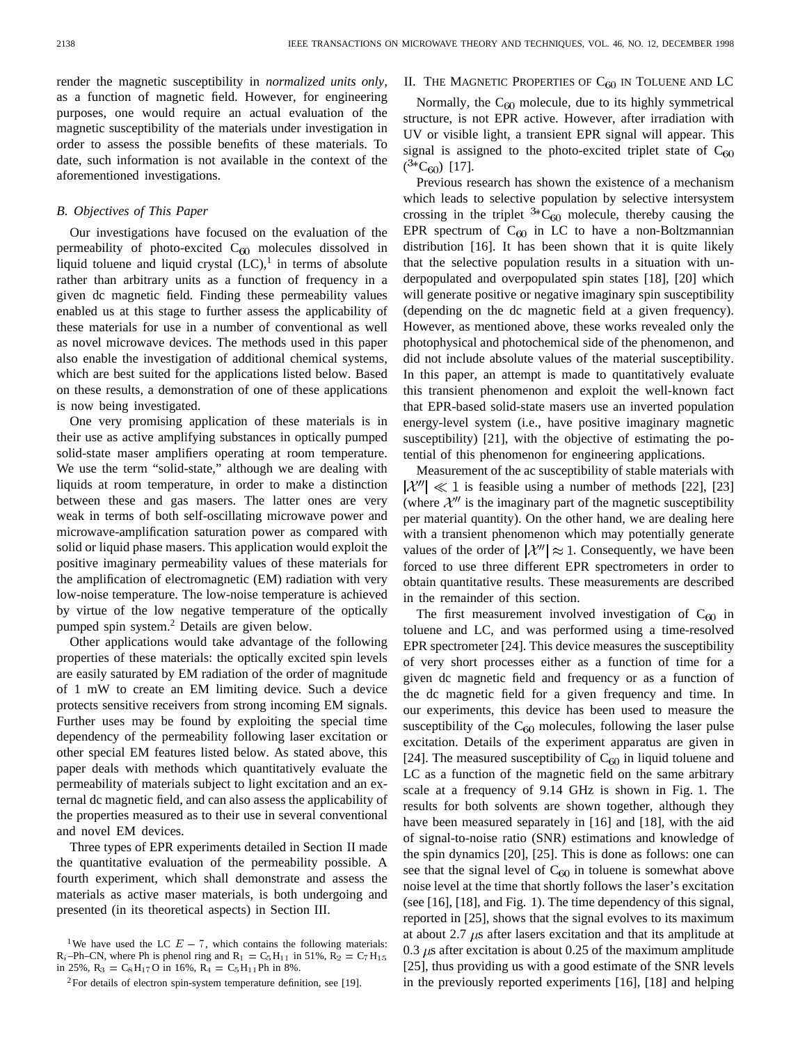render the magnetic susceptibility in *normalized units only,* as a function of magnetic field. However, for engineering purposes, one would require an actual evaluation of the magnetic susceptibility of the materials under investigation in order to assess the possible benefits of these materials. To date, such information is not available in the context of the aforementioned investigations.

#### *B. Objectives of This Paper*

Our investigations have focused on the evaluation of the permeability of photo-excited  $C_{60}$  molecules dissolved in liquid toluene and liquid crystal  $(LC)$ ,<sup>1</sup> in terms of absolute rather than arbitrary units as a function of frequency in a given dc magnetic field. Finding these permeability values enabled us at this stage to further assess the applicability of these materials for use in a number of conventional as well as novel microwave devices. The methods used in this paper also enable the investigation of additional chemical systems, which are best suited for the applications listed below. Based on these results, a demonstration of one of these applications is now being investigated.

One very promising application of these materials is in their use as active amplifying substances in optically pumped solid-state maser amplifiers operating at room temperature. We use the term "solid-state," although we are dealing with liquids at room temperature, in order to make a distinction between these and gas masers. The latter ones are very weak in terms of both self-oscillating microwave power and microwave-amplification saturation power as compared with solid or liquid phase masers. This application would exploit the positive imaginary permeability values of these materials for the amplification of electromagnetic (EM) radiation with very low-noise temperature. The low-noise temperature is achieved by virtue of the low negative temperature of the optically pumped spin system.<sup>2</sup> Details are given below.

Other applications would take advantage of the following properties of these materials: the optically excited spin levels are easily saturated by EM radiation of the order of magnitude of 1 mW to create an EM limiting device. Such a device protects sensitive receivers from strong incoming EM signals. Further uses may be found by exploiting the special time dependency of the permeability following laser excitation or other special EM features listed below. As stated above, this paper deals with methods which quantitatively evaluate the permeability of materials subject to light excitation and an external dc magnetic field, and can also assess the applicability of the properties measured as to their use in several conventional and novel EM devices.

Three types of EPR experiments detailed in Section II made the quantitative evaluation of the permeability possible. A fourth experiment, which shall demonstrate and assess the materials as active maser materials, is both undergoing and presented (in its theoretical aspects) in Section III.

Normally, the  $C_{60}$  molecule, due to its highly symmetrical structure, is not EPR active. However, after irradiation with UV or visible light, a transient EPR signal will appear. This signal is assigned to the photo-excited triplet state of  $C_{60}$  $(^{3*}C_{60})$  [17].

II. THE MAGNETIC PROPERTIES OF  $C_{60}$  in Toluene and LC

Previous research has shown the existence of a mechanism which leads to selective population by selective intersystem crossing in the triplet  ${}^{3*}C_{60}$  molecule, thereby causing the EPR spectrum of  $C_{60}$  in LC to have a non-Boltzmannian distribution [16]. It has been shown that it is quite likely that the selective population results in a situation with underpopulated and overpopulated spin states [18], [20] which will generate positive or negative imaginary spin susceptibility (depending on the dc magnetic field at a given frequency). However, as mentioned above, these works revealed only the photophysical and photochemical side of the phenomenon, and did not include absolute values of the material susceptibility. In this paper, an attempt is made to quantitatively evaluate this transient phenomenon and exploit the well-known fact that EPR-based solid-state masers use an inverted population energy-level system (i.e., have positive imaginary magnetic susceptibility) [21], with the objective of estimating the potential of this phenomenon for engineering applications.

Measurement of the ac susceptibility of stable materials with  $|\mathcal{X}^{\prime\prime}| \ll 1$  is feasible using a number of methods [22], [23] (where  $\mathcal{X}^{\prime\prime}$  is the imaginary part of the magnetic susceptibility per material quantity). On the other hand, we are dealing here with a transient phenomenon which may potentially generate values of the order of  $|\mathcal{X}^{\prime\prime}| \approx 1$ . Consequently, we have been forced to use three different EPR spectrometers in order to obtain quantitative results. These measurements are described in the remainder of this section.

The first measurement involved investigation of  $C_{60}$  in toluene and LC, and was performed using a time-resolved EPR spectrometer [24]. This device measures the susceptibility of very short processes either as a function of time for a given dc magnetic field and frequency or as a function of the dc magnetic field for a given frequency and time. In our experiments, this device has been used to measure the susceptibility of the  $C_{60}$  molecules, following the laser pulse excitation. Details of the experiment apparatus are given in [24]. The measured susceptibility of  $C_{60}$  in liquid toluene and LC as a function of the magnetic field on the same arbitrary scale at a frequency of 9.14 GHz is shown in Fig. 1. The results for both solvents are shown together, although they have been measured separately in [16] and [18], with the aid of signal-to-noise ratio (SNR) estimations and knowledge of the spin dynamics [20], [25]. This is done as follows: one can see that the signal level of  $C_{60}$  in toluene is somewhat above noise level at the time that shortly follows the laser's excitation (see [16], [18], and Fig. 1). The time dependency of this signal, reported in [25], shows that the signal evolves to its maximum at about 2.7  $\mu$ s after lasers excitation and that its amplitude at 0.3  $\mu$ s after excitation is about 0.25 of the maximum amplitude [25], thus providing us with a good estimate of the SNR levels in the previously reported experiments [16], [18] and helping

<sup>&</sup>lt;sup>1</sup>We have used the LC  $E - 7$ , which contains the following materials:  $R_i$ –Ph–CN, where Ph is phenol ring and  $R_1 = C_5H_{11}$  in 51%,  $R_2 = C_7H_{15}$ in 25%,  $R_3 = C_8H_{17}O$  in 16%,  $R_4 = C_5H_{11}Ph$  in 8%.

 $2$ For details of electron spin-system temperature definition, see [19].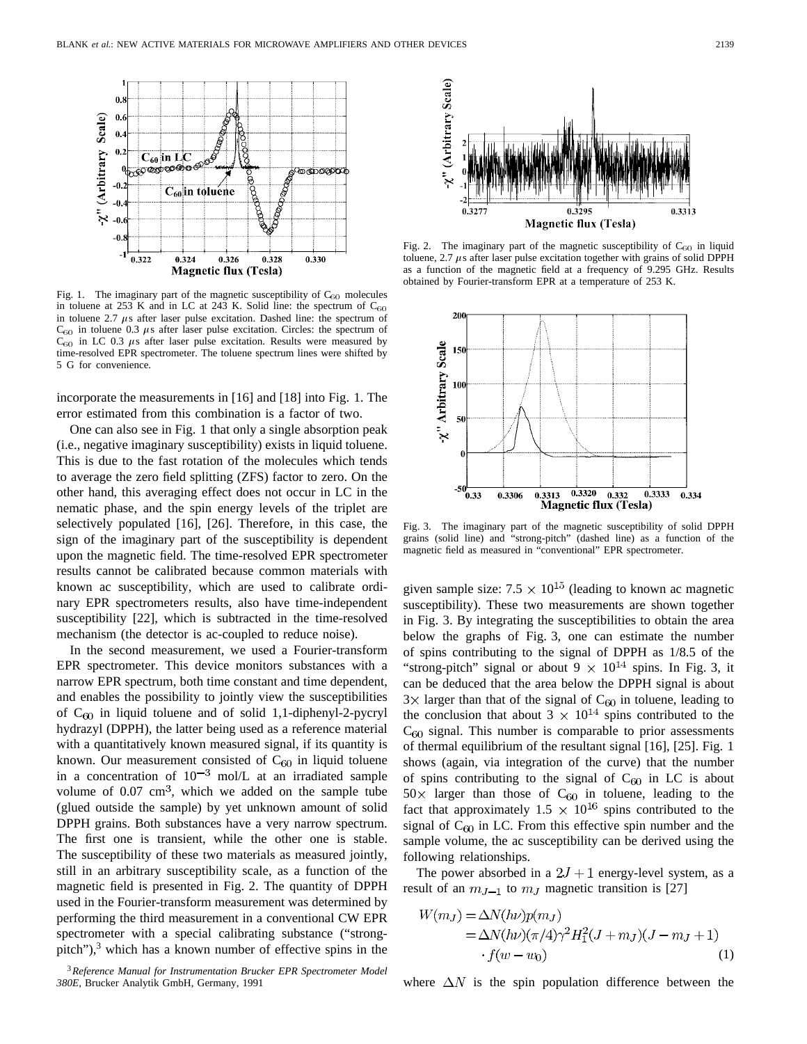

Fig. 1. The imaginary part of the magnetic susceptibility of  $C_{60}$  molecules in toluene at 253 K and in LC at 243 K. Solid line: the spectrum of  $C_{60}$ in toluene 2.7  $\mu$ s after laser pulse excitation. Dashed line: the spectrum of  $C_{60}$  in toluene 0.3  $\mu$ s after laser pulse excitation. Circles: the spectrum of  $C_{60}$  in LC 0.3  $\mu$ s after laser pulse excitation. Results were measured by time-resolved EPR spectrometer. The toluene spectrum lines were shifted by 5 G for convenience.

incorporate the measurements in [16] and [18] into Fig. 1. The error estimated from this combination is a factor of two.

One can also see in Fig. 1 that only a single absorption peak (i.e., negative imaginary susceptibility) exists in liquid toluene. This is due to the fast rotation of the molecules which tends to average the zero field splitting (ZFS) factor to zero. On the other hand, this averaging effect does not occur in LC in the nematic phase, and the spin energy levels of the triplet are selectively populated [16], [26]. Therefore, in this case, the sign of the imaginary part of the susceptibility is dependent upon the magnetic field. The time-resolved EPR spectrometer results cannot be calibrated because common materials with known ac susceptibility, which are used to calibrate ordinary EPR spectrometers results, also have time-independent susceptibility [22], which is subtracted in the time-resolved mechanism (the detector is ac-coupled to reduce noise).

In the second measurement, we used a Fourier-transform EPR spectrometer. This device monitors substances with a narrow EPR spectrum, both time constant and time dependent, and enables the possibility to jointly view the susceptibilities of  $C_{60}$  in liquid toluene and of solid 1,1-diphenyl-2-pycryl hydrazyl (DPPH), the latter being used as a reference material with a quantitatively known measured signal, if its quantity is known. Our measurement consisted of  $C_{60}$  in liquid toluene in a concentration of  $10^{-3}$  mol/L at an irradiated sample volume of  $0.07 \text{ cm}^3$ , which we added on the sample tube (glued outside the sample) by yet unknown amount of solid DPPH grains. Both substances have a very narrow spectrum. The first one is transient, while the other one is stable. The susceptibility of these two materials as measured jointly, still in an arbitrary susceptibility scale, as a function of the magnetic field is presented in Fig. 2. The quantity of DPPH used in the Fourier-transform measurement was determined by performing the third measurement in a conventional CW EPR spectrometer with a special calibrating substance ("strongpitch"), $3$  which has a known number of effective spins in the





Fig. 2. The imaginary part of the magnetic susceptibility of  $C_{60}$  in liquid toluene,  $2.7 \mu s$  after laser pulse excitation together with grains of solid DPPH as a function of the magnetic field at a frequency of 9.295 GHz. Results obtained by Fourier-transform EPR at a temperature of 253 K.



Fig. 3. The imaginary part of the magnetic susceptibility of solid DPPH grains (solid line) and "strong-pitch" (dashed line) as a function of the magnetic field as measured in "conventional" EPR spectrometer.

given sample size:  $7.5 \times 10^{15}$  (leading to known ac magnetic susceptibility). These two measurements are shown together in Fig. 3. By integrating the susceptibilities to obtain the area below the graphs of Fig. 3, one can estimate the number of spins contributing to the signal of DPPH as 1/8.5 of the "strong-pitch" signal or about  $9 \times 10^{14}$  spins. In Fig. 3, it can be deduced that the area below the DPPH signal is about  $3 \times$  larger than that of the signal of C<sub>60</sub> in toluene, leading to the conclusion that about 3  $\times$  10<sup>14</sup> spins contributed to the  $C_{60}$  signal. This number is comparable to prior assessments of thermal equilibrium of the resultant signal [16], [25]. Fig. 1 shows (again, via integration of the curve) that the number of spins contributing to the signal of  $C_{60}$  in LC is about  $50 \times$  larger than those of C<sub>60</sub> in toluene, leading to the fact that approximately  $1.5 \times 10^{16}$  spins contributed to the signal of  $C_{60}$  in LC. From this effective spin number and the sample volume, the ac susceptibility can be derived using the following relationships.

The power absorbed in a  $2J + 1$  energy-level system, as a result of an  $m_{J-1}$  to  $m_J$  magnetic transition is [27]

$$
W(m_J) = \Delta N(h\nu)p(m_J)
$$
  
=  $\Delta N(h\nu)(\pi/4)\gamma^2 H_1^2(J + m_J)(J - m_J + 1)$   
·  $f(w - w_0)$  (1)

where  $\Delta N$  is the spin population difference between the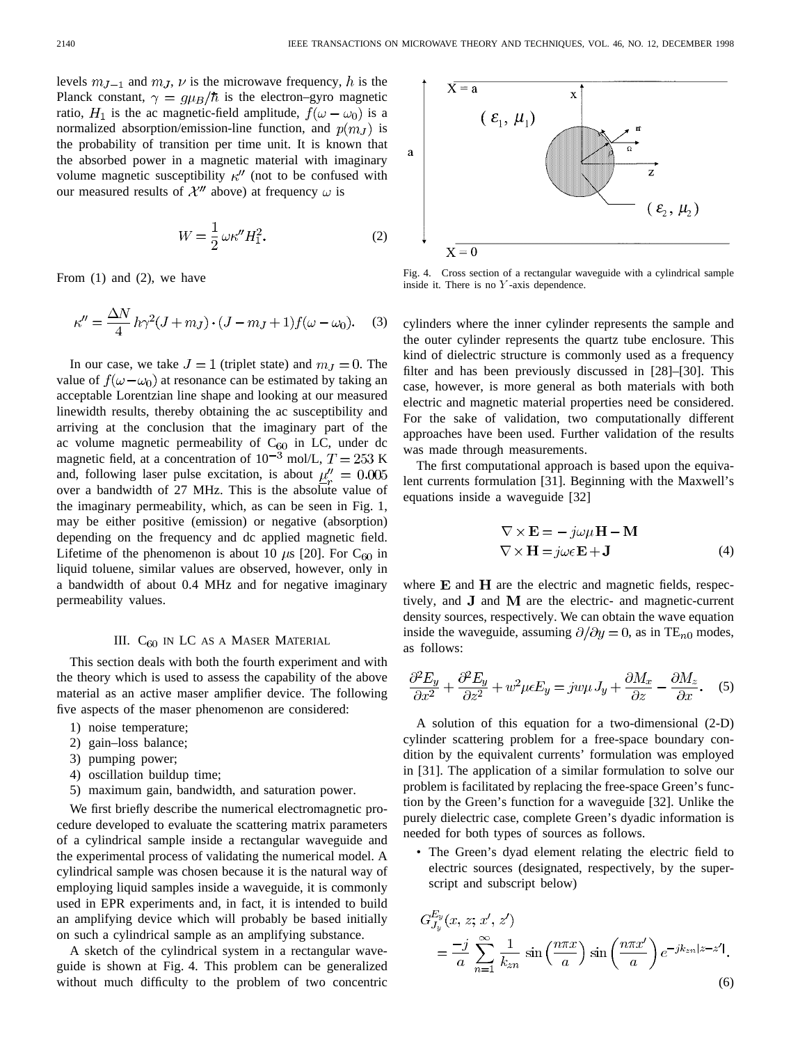levels  $m_{J-1}$  and  $m_J$ ,  $\nu$  is the microwave frequency, h is the Planck constant,  $\gamma = g\mu_B/\hbar$  is the electron–gyro magnetic ratio,  $H_1$  is the ac magnetic-field amplitude,  $f(\omega - \omega_0)$  is a normalized absorption/emission-line function, and  $p(m_I)$  is the probability of transition per time unit. It is known that the absorbed power in a magnetic material with imaginary volume magnetic susceptibility  $\kappa''$  (not to be confused with our measured results of  $\mathcal{X}''$  above) at frequency  $\omega$  is

$$
W = \frac{1}{2} \omega \kappa'' H_1^2. \tag{2}
$$

From (1) and (2), we have

$$
\kappa'' = \frac{\Delta N}{4} h\gamma^2 (J + m_J) \cdot (J - m_J + 1) f(\omega - \omega_0). \tag{3}
$$

In our case, we take  $J = 1$  (triplet state) and  $m<sub>J</sub> = 0$ . The value of  $f(\omega - \omega_0)$  at resonance can be estimated by taking an acceptable Lorentzian line shape and looking at our measured linewidth results, thereby obtaining the ac susceptibility and arriving at the conclusion that the imaginary part of the ac volume magnetic permeability of  $C_{60}$  in LC, under dc magnetic field, at a concentration of  $10^{-3}$  mol/L,  $T = 253$  K and, following laser pulse excitation, is about  $\mu'' = 0.005$ over a bandwidth of 27 MHz. This is the absolute value of the imaginary permeability, which, as can be seen in Fig. 1, may be either positive (emission) or negative (absorption) depending on the frequency and dc applied magnetic field. Lifetime of the phenomenon is about 10  $\mu$ s [20]. For C<sub>60</sub> in liquid toluene, similar values are observed, however, only in a bandwidth of about 0.4 MHz and for negative imaginary permeability values.

## III. C<sub>60</sub> IN LC AS A MASER MATERIAL

This section deals with both the fourth experiment and with the theory which is used to assess the capability of the above material as an active maser amplifier device. The following five aspects of the maser phenomenon are considered:

- 1) noise temperature;
- 2) gain–loss balance;
- 3) pumping power;
- 4) oscillation buildup time;
- 5) maximum gain, bandwidth, and saturation power.

We first briefly describe the numerical electromagnetic procedure developed to evaluate the scattering matrix parameters of a cylindrical sample inside a rectangular waveguide and the experimental process of validating the numerical model. A cylindrical sample was chosen because it is the natural way of employing liquid samples inside a waveguide, it is commonly used in EPR experiments and, in fact, it is intended to build an amplifying device which will probably be based initially on such a cylindrical sample as an amplifying substance.

A sketch of the cylindrical system in a rectangular waveguide is shown at Fig. 4. This problem can be generalized without much difficulty to the problem of two concentric



Fig. 4. Cross section of a rectangular waveguide with a cylindrical sample inside it. There is no  $Y$ -axis dependence.

cylinders where the inner cylinder represents the sample and the outer cylinder represents the quartz tube enclosure. This kind of dielectric structure is commonly used as a frequency filter and has been previously discussed in [28]–[30]. This case, however, is more general as both materials with both electric and magnetic material properties need be considered. For the sake of validation, two computationally different approaches have been used. Further validation of the results was made through measurements.

The first computational approach is based upon the equivalent currents formulation [31]. Beginning with the Maxwell's equations inside a waveguide [32]

$$
\nabla \times \mathbf{E} = -j\omega\mu \mathbf{H} - \mathbf{M}
$$
  

$$
\nabla \times \mathbf{H} = j\omega\epsilon \mathbf{E} + \mathbf{J}
$$
 (4)

where  $E$  and  $H$  are the electric and magnetic fields, respectively, and  $J$  and  $M$  are the electric- and magnetic-current density sources, respectively. We can obtain the wave equation inside the waveguide, assuming  $\partial/\partial y = 0$ , as in TE<sub>n0</sub> modes, as follows:

$$
\frac{\partial^2 E_y}{\partial x^2} + \frac{\partial^2 E_y}{\partial z^2} + w^2 \mu \epsilon E_y = j w \mu J_y + \frac{\partial M_x}{\partial z} - \frac{\partial M_z}{\partial x}.
$$
 (5)

A solution of this equation for a two-dimensional (2-D) cylinder scattering problem for a free-space boundary condition by the equivalent currents' formulation was employed in [31]. The application of a similar formulation to solve our problem is facilitated by replacing the free-space Green's function by the Green's function for a waveguide [32]. Unlike the purely dielectric case, complete Green's dyadic information is needed for both types of sources as follows.

• The Green's dyad element relating the electric field to electric sources (designated, respectively, by the superscript and subscript below)

$$
G_{J_y}^{E_y}(x, z; x', z')
$$
  
= 
$$
\frac{-j}{a} \sum_{n=1}^{\infty} \frac{1}{k_{zn}} \sin\left(\frac{n\pi x}{a}\right) \sin\left(\frac{n\pi x'}{a}\right) e^{-jk_{zn}|z-z'|}.
$$
 (6)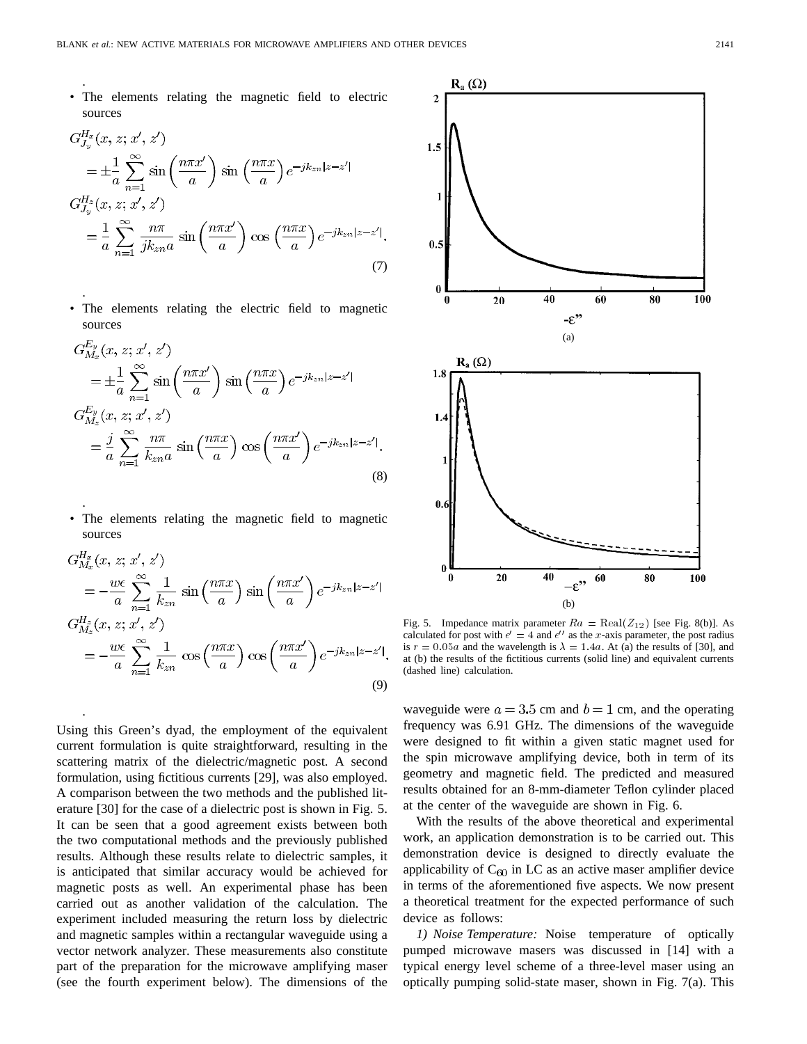The elements relating the magnetic field to electric sources

.

.

.

.

$$
G_{J_y}^{H_x}(x, z; x', z')
$$
  
\n
$$
= \pm \frac{1}{a} \sum_{n=1}^{\infty} \sin\left(\frac{n\pi x'}{a}\right) \sin\left(\frac{n\pi x}{a}\right) e^{-jk_{zn}|z-z'|}
$$
  
\n
$$
G_{J_y}^{H_z}(x, z; x', z')
$$
  
\n
$$
= \frac{1}{a} \sum_{n=1}^{\infty} \frac{n\pi}{jk_{zn}a} \sin\left(\frac{n\pi x'}{a}\right) \cos\left(\frac{n\pi x}{a}\right) e^{-jk_{zn}|z-z'|}.
$$
  
\n(7)

The elements relating the electric field to magnetic sources

$$
G_{M_x}^{E_y}(x, z; x', z')
$$
  
\n
$$
= \pm \frac{1}{a} \sum_{n=1}^{\infty} \sin\left(\frac{n\pi x'}{a}\right) \sin\left(\frac{n\pi x}{a}\right) e^{-jk_{zn}|z-z'|}
$$
  
\n
$$
G_{M_z}^{E_y}(x, z; x', z')
$$
  
\n
$$
= \frac{j}{a} \sum_{n=1}^{\infty} \frac{n\pi}{k_{zn}a} \sin\left(\frac{n\pi x}{a}\right) \cos\left(\frac{n\pi x'}{a}\right) e^{-jk_{zn}|z-z'|}.
$$
\n(8)

The elements relating the magnetic field to magnetic sources

$$
G_{M_x}^{H_x}(x, z; x', z')
$$
  
=  $-\frac{we}{a} \sum_{n=1}^{\infty} \frac{1}{k_{zn}} \sin\left(\frac{n\pi x}{a}\right) \sin\left(\frac{n\pi x'}{a}\right) e^{-jk_{zn}|z-z'|}$   

$$
G_{M_x}^{H_z}(x, z; x', z')
$$
  
=  $-\frac{we}{a} \sum_{n=1}^{\infty} \frac{1}{k_{zn}} \cos\left(\frac{n\pi x}{a}\right) \cos\left(\frac{n\pi x'}{a}\right) e^{-jk_{zn}|z-z'|}.$  (9)

Using this Green's dyad, the employment of the equivalent current formulation is quite straightforward, resulting in the scattering matrix of the dielectric/magnetic post. A second formulation, using fictitious currents [29], was also employed. A comparison between the two methods and the published literature [30] for the case of a dielectric post is shown in Fig. 5. It can be seen that a good agreement exists between both the two computational methods and the previously published results. Although these results relate to dielectric samples, it is anticipated that similar accuracy would be achieved for magnetic posts as well. An experimental phase has been carried out as another validation of the calculation. The experiment included measuring the return loss by dielectric and magnetic samples within a rectangular waveguide using a vector network analyzer. These measurements also constitute part of the preparation for the microwave amplifying maser (see the fourth experiment below). The dimensions of the



Fig. 5. Impedance matrix parameter  $Ra = \text{Real}(Z_{12})$  [see Fig. 8(b)]. As calculated for post with  $\epsilon' = 4$  and  $\epsilon''$  as the x-axis parameter, the post radius is  $r = 0.05a$  and the wavelength is  $\lambda = 1.4a$ . At (a) the results of [30], and at (b) the results of the fictitious currents (solid line) and equivalent currents (dashed line) calculation.

waveguide were  $a = 3.5$  cm and  $b = 1$  cm, and the operating frequency was 6.91 GHz. The dimensions of the waveguide were designed to fit within a given static magnet used for the spin microwave amplifying device, both in term of its geometry and magnetic field. The predicted and measured results obtained for an 8-mm-diameter Teflon cylinder placed at the center of the waveguide are shown in Fig. 6.

With the results of the above theoretical and experimental work, an application demonstration is to be carried out. This demonstration device is designed to directly evaluate the applicability of  $C_{60}$  in LC as an active maser amplifier device in terms of the aforementioned five aspects. We now present a theoretical treatment for the expected performance of such device as follows:

*1) Noise Temperature:* Noise temperature of optically pumped microwave masers was discussed in [14] with a typical energy level scheme of a three-level maser using an optically pumping solid-state maser, shown in Fig. 7(a). This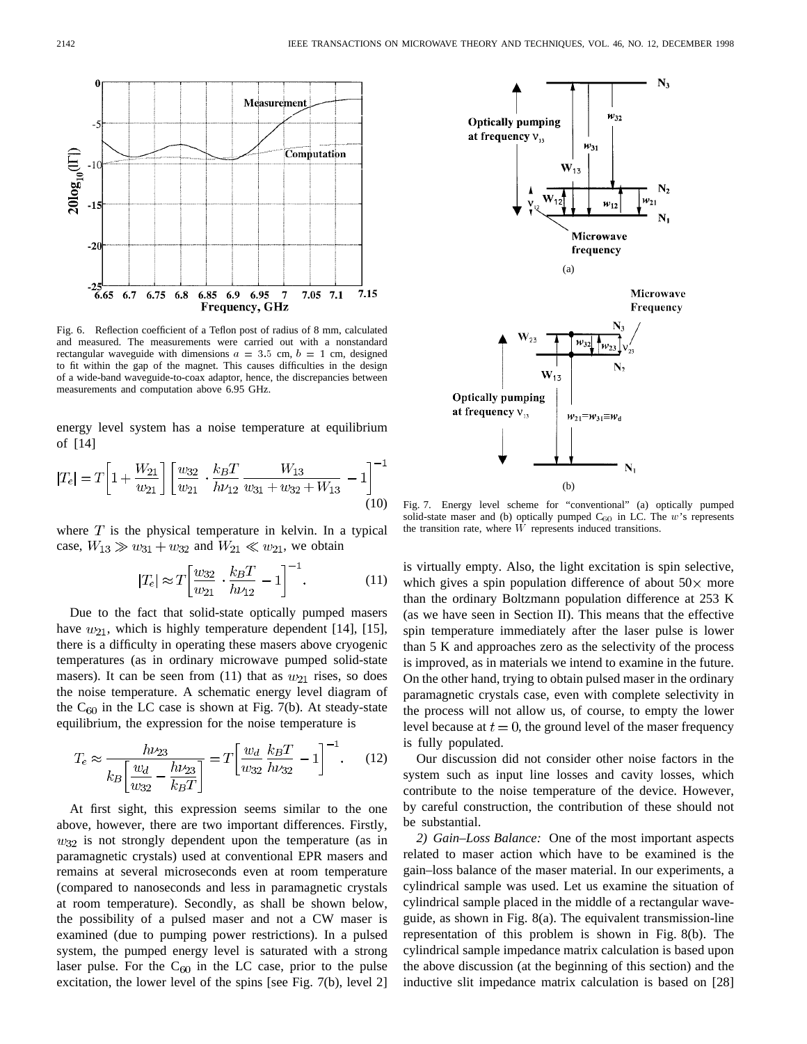

Fig. 6. Reflection coefficient of a Teflon post of radius of 8 mm, calculated and measured. The measurements were carried out with a nonstandard rectangular waveguide with dimensions  $a = 3.5$  cm,  $b = 1$  cm, designed to fit within the gap of the magnet. This causes difficulties in the design of a wide-band waveguide-to-coax adaptor, hence, the discrepancies between measurements and computation above 6.95 GHz.

energy level system has a noise temperature at equilibrium of [14]

$$
|T_e| = T \left[ 1 + \frac{W_{21}}{w_{21}} \right] \left[ \frac{w_{32}}{w_{21}} \cdot \frac{k_B T}{h \nu_{12}} \frac{W_{13}}{w_{31} + w_{32} + W_{13}} - 1 \right]^{-1}
$$
(10)

where  $T$  is the physical temperature in kelvin. In a typical case,  $W_{13} \gg w_{31} + w_{32}$  and  $W_{21} \ll w_{21}$ , we obtain

$$
|T_e| \approx T \left[ \frac{w_{32}}{w_{21}} \cdot \frac{k_B T}{h \nu_{12}} - 1 \right]^{-1}.
$$
 (11)

Due to the fact that solid-state optically pumped masers have  $w_{21}$ , which is highly temperature dependent [14], [15], there is a difficulty in operating these masers above cryogenic temperatures (as in ordinary microwave pumped solid-state masers). It can be seen from (11) that as  $w_{21}$  rises, so does the noise temperature. A schematic energy level diagram of the  $C_{60}$  in the LC case is shown at Fig. 7(b). At steady-state equilibrium, the expression for the noise temperature is

$$
T_e \approx \frac{h\nu_{23}}{k_B \left[\frac{w_d}{w_{32}} - \frac{h\nu_{23}}{k_B T}\right]} = T \left[\frac{w_d}{w_{32}} \frac{k_B T}{h\nu_{32}} - 1\right]^{-1}.
$$
 (12)

At first sight, this expression seems similar to the one above, however, there are two important differences. Firstly,  $w_{32}$  is not strongly dependent upon the temperature (as in paramagnetic crystals) used at conventional EPR masers and remains at several microseconds even at room temperature (compared to nanoseconds and less in paramagnetic crystals at room temperature). Secondly, as shall be shown below, the possibility of a pulsed maser and not a CW maser is examined (due to pumping power restrictions). In a pulsed system, the pumped energy level is saturated with a strong laser pulse. For the  $C_{60}$  in the LC case, prior to the pulse excitation, the lower level of the spins [see Fig. 7(b), level 2]



Fig. 7. Energy level scheme for "conventional" (a) optically pumped solid-state maser and (b) optically pumped  $C_{60}$  in LC. The w's represents the transition rate, where  $\overline{W}$  represents induced transitions.

is virtually empty. Also, the light excitation is spin selective, which gives a spin population difference of about  $50 \times$  more than the ordinary Boltzmann population difference at 253 K (as we have seen in Section II). This means that the effective spin temperature immediately after the laser pulse is lower than 5 K and approaches zero as the selectivity of the process is improved, as in materials we intend to examine in the future. On the other hand, trying to obtain pulsed maser in the ordinary paramagnetic crystals case, even with complete selectivity in the process will not allow us, of course, to empty the lower level because at  $t = 0$ , the ground level of the maser frequency is fully populated.

Our discussion did not consider other noise factors in the system such as input line losses and cavity losses, which contribute to the noise temperature of the device. However, by careful construction, the contribution of these should not be substantial.

*2) Gain–Loss Balance:* One of the most important aspects related to maser action which have to be examined is the gain–loss balance of the maser material. In our experiments, a cylindrical sample was used. Let us examine the situation of cylindrical sample placed in the middle of a rectangular waveguide, as shown in Fig. 8(a). The equivalent transmission-line representation of this problem is shown in Fig. 8(b). The cylindrical sample impedance matrix calculation is based upon the above discussion (at the beginning of this section) and the inductive slit impedance matrix calculation is based on [28]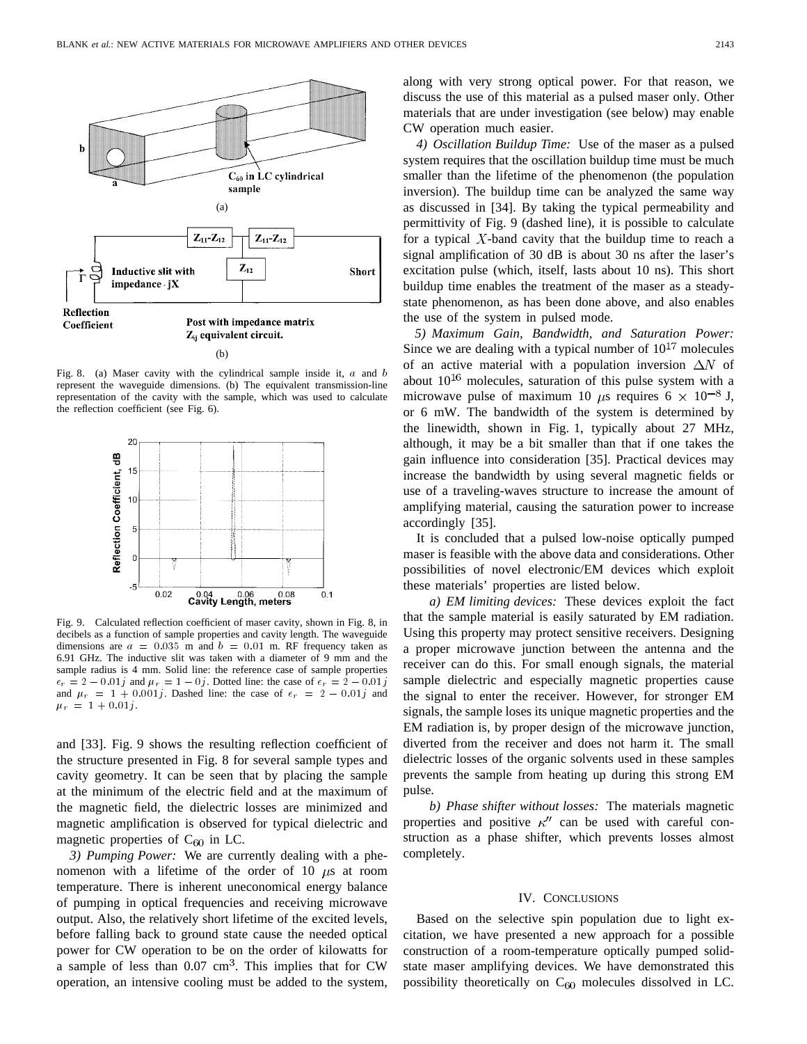

Fig. 8. (a) Maser cavity with the cylindrical sample inside it,  $a$  and  $b$ represent the waveguide dimensions. (b) The equivalent transmission-line representation of the cavity with the sample, which was used to calculate the reflection coefficient (see Fig. 6).



Fig. 9. Calculated reflection coefficient of maser cavity, shown in Fig. 8, in decibels as a function of sample properties and cavity length. The waveguide dimensions are  $a = 0.035$  m and  $b = 0.01$  m. RF frequency taken as 6.91 GHz. The inductive slit was taken with a diameter of 9 mm and the sample radius is 4 mm. Solid line: the reference case of sample properties dimensions are  $a = 0.035$  m and  $b = 0.01$  m. RF frequency taken as 6.91 GHz. The inductive slit was taken with a diameter of 9 mm and the sample radius is 4 mm. Solid line: the reference case of sample properties  $\epsilon_r = 2 -$ 6.91 GHz. The inductive slit was taken with a diameter of 9 mm and the sample radius is 4 mm. Solid line: the reference case of sample properties  $\epsilon_r = 2 - 0.01j$  and  $\mu_r = 1 - 0j$ . Dotted line: the case of  $\epsilon_r = 2 - 0.01j$   $\mu_r = 1 + 0.01j.$ 

and [33]. Fig. 9 shows the resulting reflection coefficient of the structure presented in Fig. 8 for several sample types and cavity geometry. It can be seen that by placing the sample at the minimum of the electric field and at the maximum of the magnetic field, the dielectric losses are minimized and magnetic amplification is observed for typical dielectric and magnetic properties of  $C_{60}$  in LC.

*3) Pumping Power:* We are currently dealing with a phenomenon with a lifetime of the order of 10  $\mu$ s at room temperature. There is inherent uneconomical energy balance of pumping in optical frequencies and receiving microwave output. Also, the relatively short lifetime of the excited levels, before falling back to ground state cause the needed optical power for CW operation to be on the order of kilowatts for a sample of less than  $0.07 \text{ cm}^3$ . This implies that for CW operation, an intensive cooling must be added to the system, along with very strong optical power. For that reason, we discuss the use of this material as a pulsed maser only. Other materials that are under investigation (see below) may enable CW operation much easier.

*4) Oscillation Buildup Time:* Use of the maser as a pulsed system requires that the oscillation buildup time must be much smaller than the lifetime of the phenomenon (the population inversion). The buildup time can be analyzed the same way as discussed in [34]. By taking the typical permeability and permittivity of Fig. 9 (dashed line), it is possible to calculate for a typical  $X$ -band cavity that the buildup time to reach a signal amplification of 30 dB is about 30 ns after the laser's excitation pulse (which, itself, lasts about 10 ns). This short buildup time enables the treatment of the maser as a steadystate phenomenon, as has been done above, and also enables the use of the system in pulsed mode.

*5) Maximum Gain, Bandwidth, and Saturation Power:* Since we are dealing with a typical number of  $10^{17}$  molecules of an active material with a population inversion  $\Delta N$  of about  $10^{16}$  molecules, saturation of this pulse system with a microwave pulse of maximum 10  $\mu$ s requires 6  $\times$  10<sup>-8</sup> J, or 6 mW. The bandwidth of the system is determined by the linewidth, shown in Fig. 1, typically about 27 MHz, although, it may be a bit smaller than that if one takes the gain influence into consideration [35]. Practical devices may increase the bandwidth by using several magnetic fields or use of a traveling-waves structure to increase the amount of amplifying material, causing the saturation power to increase accordingly [35].

It is concluded that a pulsed low-noise optically pumped maser is feasible with the above data and considerations. Other possibilities of novel electronic/EM devices which exploit these materials' properties are listed below.

*a) EM limiting devices:* These devices exploit the fact that the sample material is easily saturated by EM radiation. Using this property may protect sensitive receivers. Designing a proper microwave junction between the antenna and the receiver can do this. For small enough signals, the material sample dielectric and especially magnetic properties cause the signal to enter the receiver. However, for stronger EM signals, the sample loses its unique magnetic properties and the EM radiation is, by proper design of the microwave junction, diverted from the receiver and does not harm it. The small dielectric losses of the organic solvents used in these samples prevents the sample from heating up during this strong EM pulse.

*b) Phase shifter without losses:* The materials magnetic properties and positive  $\kappa''$  can be used with careful construction as a phase shifter, which prevents losses almost completely.

#### IV. CONCLUSIONS

Based on the selective spin population due to light excitation, we have presented a new approach for a possible construction of a room-temperature optically pumped solidstate maser amplifying devices. We have demonstrated this possibility theoretically on  $C_{60}$  molecules dissolved in LC.